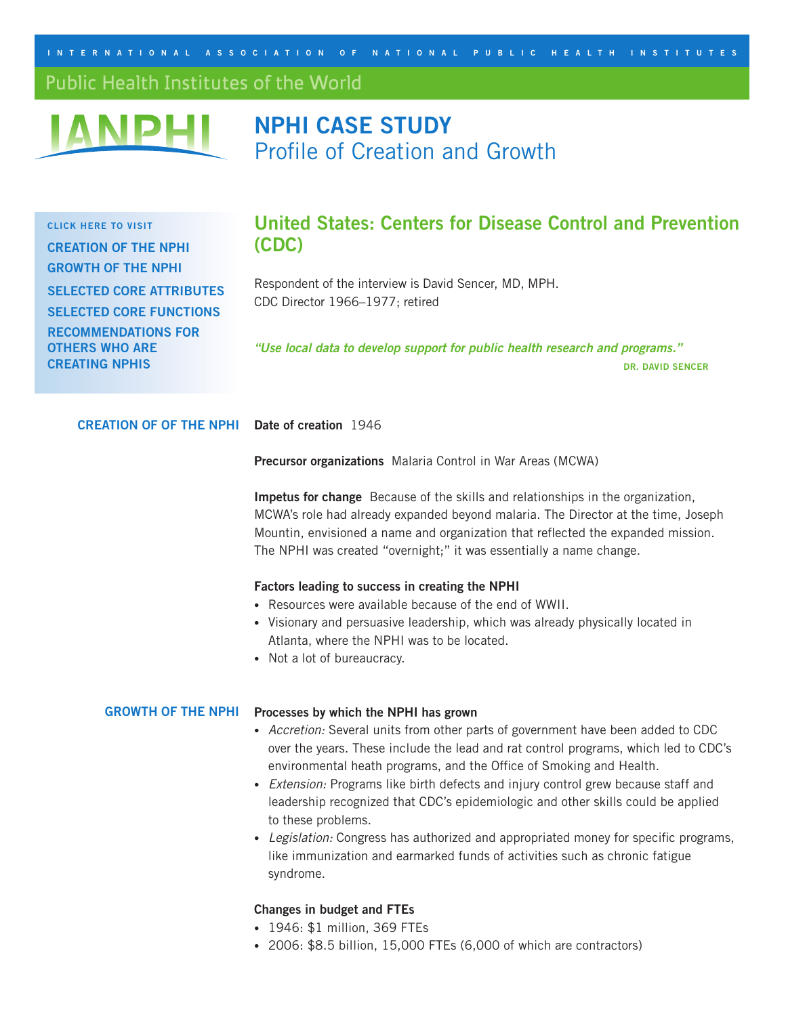<span id="page-0-0"></span>INTERNATIONAL ASSOCIATION OF NATIONAL PUBLIC HEALTH INSTITUTES

# Public Health Institutes of the World



# **NPHI CASE STUDY** Profile of Creation and Growth

**Click here to visit [Creation of](#page-0-0) the NPHI [Growth of](#page-0-0) the NPHI Selected [Core Attributes](#page-2-0) Selected [Core Functions](#page-2-0) [Recommendations](#page-3-0) for Others Who Are Creating NPHIs**

# **United States: Centers for Disease Control and Prevention (CDC)**

Respondent of the interview is David Sencer, MD, MPH. CDC Director 1966–1977; retired

*"Use local data to develop support for public health research and programs."* **Dr. David Sencer**

**Date of creation** 1946 **Creation of of the NPHI**

**Precursor organizations** Malaria Control in War Areas (MCWA)

**Impetus for change** Because of the skills and relationships in the organization, MCWA's role had already expanded beyond malaria. The Director at the time, Joseph Mountin, envisioned a name and organization that reflected the expanded mission. The NPHI was created "overnight;" it was essentially a name change.

### **Factors leading to success in creating the NPHI**

- Resources were available because of the end of WWII.
- Visionary and persuasive leadership, which was already physically located in Atlanta, where the NPHI was to be located.
- Not a lot of bureaucracy.

#### GROWTH OF THE NPHI Processes by which the NPHI has grown

- *Accretion:* Several units from other parts of government have been added to CDC over the years. These include the lead and rat control programs, which led to CDC's environmental heath programs, and the Office of Smoking and Health.
- *Extension:* Programs like birth defects and injury control grew because staff and leadership recognized that CDC's epidemiologic and other skills could be applied to these problems.
- *Legislation:* Congress has authorized and appropriated money for specific programs, like immunization and earmarked funds of activities such as chronic fatigue syndrome.

# **Changes in budget and FTEs**

- 1946: \$1 million, 369 FTEs
- 2006: \$8.5 billion, 15,000 FTEs (6,000 of which are contractors)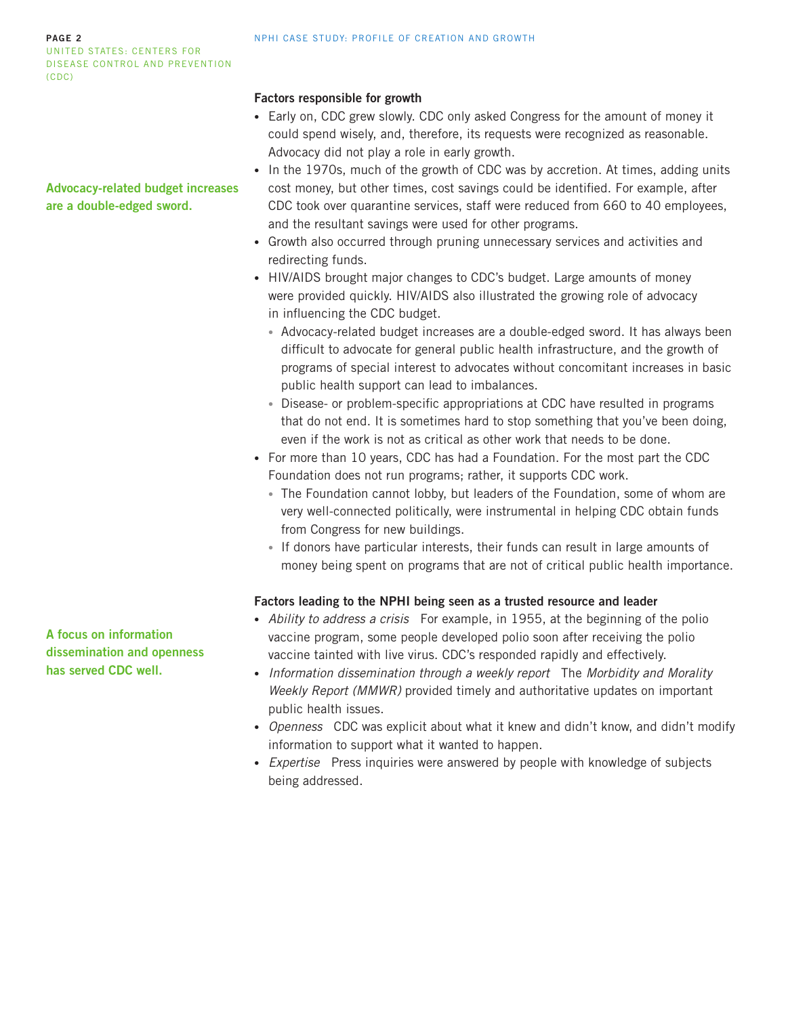#### **page 2** United States: Centers for Disease Control and Prevention (CDC)

NPHI case study: Profile of creation and growth

# **Factors responsible for growth**

- Early on, CDC grew slowly. CDC only asked Congress for the amount of money it could spend wisely, and, therefore, its requests were recognized as reasonable. Advocacy did not play a role in early growth.
- In the 1970s, much of the growth of CDC was by accretion. At times, adding units cost money, but other times, cost savings could be identified. For example, after CDC took over quarantine services, staff were reduced from 660 to 40 employees, and the resultant savings were used for other programs.
- Growth also occurred through pruning unnecessary services and activities and redirecting funds.
- HIV/AIDS brought major changes to CDC's budget. Large amounts of money were provided quickly. HIV/AIDS also illustrated the growing role of advocacy in influencing the CDC budget.
	- Advocacy-related budget increases are a double-edged sword. It has always been difficult to advocate for general public health infrastructure, and the growth of programs of special interest to advocates without concomitant increases in basic public health support can lead to imbalances.
	- Disease- or problem-specific appropriations at CDC have resulted in programs that do not end. It is sometimes hard to stop something that you've been doing, even if the work is not as critical as other work that needs to be done.
- For more than 10 years, CDC has had a Foundation. For the most part the CDC Foundation does not run programs; rather, it supports CDC work.
	- The Foundation cannot lobby, but leaders of the Foundation, some of whom are very well-connected politically, were instrumental in helping CDC obtain funds from Congress for new buildings.
	- If donors have particular interests, their funds can result in large amounts of money being spent on programs that are not of critical public health importance.

# **Factors leading to the NPHI being seen as a trusted resource and leader**

- *Ability to address a crisis* For example, in 1955, at the beginning of the polio vaccine program, some people developed polio soon after receiving the polio vaccine tainted with live virus. CDC's responded rapidly and effectively.
- *Information dissemination through a weekly report* The *Morbidity and Morality Weekly Report (MMWR)* provided timely and authoritative updates on important public health issues.
- *Openness* CDC was explicit about what it knew and didn't know, and didn't modify information to support what it wanted to happen.
- *Expertise* Press inquiries were answered by people with knowledge of subjects being addressed.

**A focus on information dissemination and openness has served CDC well.**

**Advocacy-related budget increases are a double-edged sword.**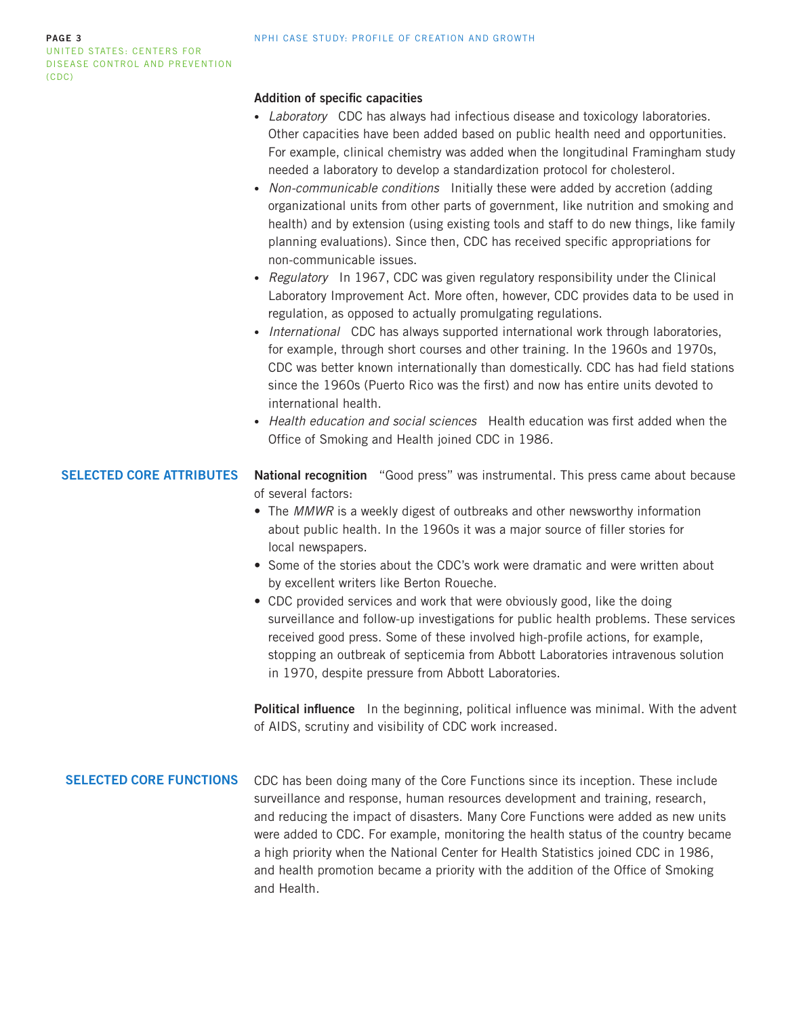# <span id="page-2-0"></span>**Addition of specific capacities**

- *Laboratory* CDC has always had infectious disease and toxicology laboratories. Other capacities have been added based on public health need and opportunities. For example, clinical chemistry was added when the longitudinal Framingham study needed a laboratory to develop a standardization protocol for cholesterol.
- *Non-communicable conditions* Initially these were added by accretion (adding organizational units from other parts of government, like nutrition and smoking and health) and by extension (using existing tools and staff to do new things, like family planning evaluations). Since then, CDC has received specific appropriations for non-communicable issues.
- *Regulatory* In 1967, CDC was given regulatory responsibility under the Clinical Laboratory Improvement Act. More often, however, CDC provides data to be used in regulation, as opposed to actually promulgating regulations.
- *International* CDC has always supported international work through laboratories, for example, through short courses and other training. In the 1960s and 1970s, CDC was better known internationally than domestically. CDC has had field stations since the 1960s (Puerto Rico was the first) and now has entire units devoted to international health.
- *Health education and social sciences* Health education was first added when the Office of Smoking and Health joined CDC in 1986.

**National recognition** "Good press" was instrumental. This press came about because of several factors: **Selected Core Attributes**

- The *MMWR* is a weekly digest of outbreaks and other newsworthy information about public health. In the 1960s it was a major source of filler stories for local newspapers.
- Some of the stories about the CDC's work were dramatic and were written about by excellent writers like Berton Roueche.
- CDC provided services and work that were obviously good, like the doing surveillance and follow-up investigations for public health problems. These services received good press. Some of these involved high-profile actions, for example, stopping an outbreak of septicemia from Abbott Laboratories intravenous solution in 1970, despite pressure from Abbott Laboratories.

**Political influence** In the beginning, political influence was minimal. With the advent of AIDS, scrutiny and visibility of CDC work increased.

# **Selected Core Functions**

CDC has been doing many of the Core Functions since its inception. These include surveillance and response, human resources development and training, research, and reducing the impact of disasters. Many Core Functions were added as new units were added to CDC. For example, monitoring the health status of the country became a high priority when the National Center for Health Statistics joined CDC in 1986, and health promotion became a priority with the addition of the Office of Smoking and Health.